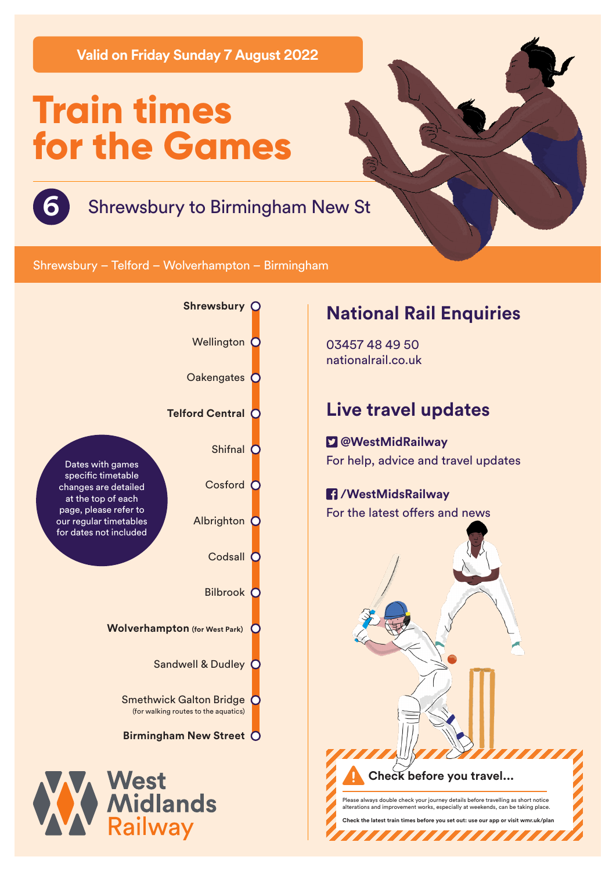**Valid on Friday Sunday 7 August 2022**

# **Train times for the Games**



#### **6** Shrewsbury to Birmingham New St

Shrewsbury – Telford – Wolverhampton – Birmingham



#### **National Rail Enquiries**

03457 48 49 50 nationalrail.co.uk

### **Live travel updates**

 **@WestMidRailway** For help, advice and travel updates

## **/WestMidsRailway**

For the latest offers and news